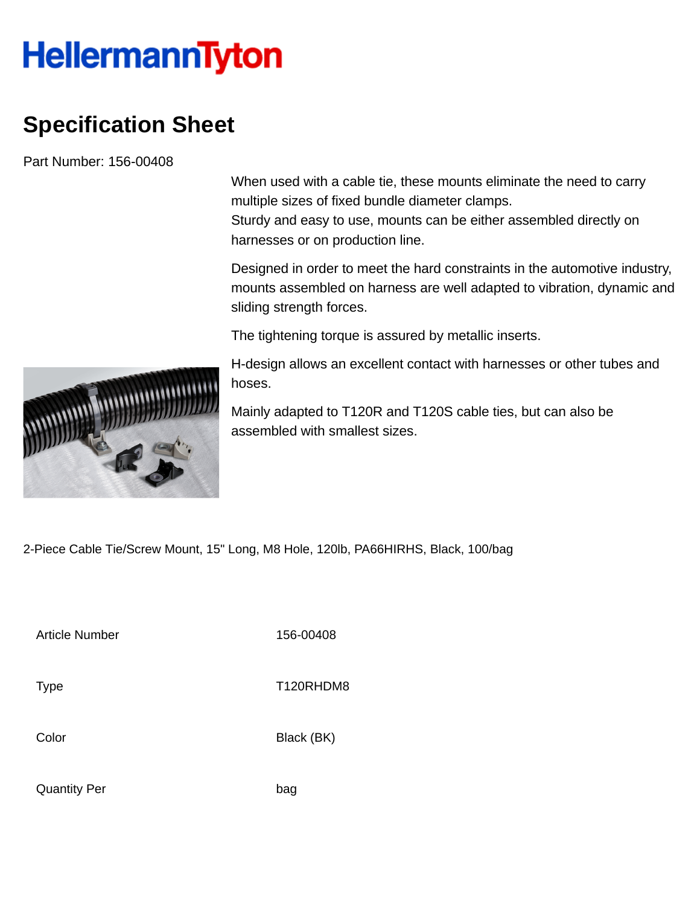## **HellermannTyton**

## **Specification Sheet**

Part Number: 156-00408

When used with a cable tie, these mounts eliminate the need to carry multiple sizes of fixed bundle diameter clamps.

Sturdy and easy to use, mounts can be either assembled directly on harnesses or on production line.

Designed in order to meet the hard constraints in the automotive industry, mounts assembled on harness are well adapted to vibration, dynamic and sliding strength forces.

The tightening torque is assured by metallic inserts.

H-design allows an excellent contact with harnesses or other tubes and hoses.

Mainly adapted to T120R and T120S cable ties, but can also be assembled with smallest sizes.

2-Piece Cable Tie/Screw Mount, 15" Long, M8 Hole, 120lb, PA66HIRHS, Black, 100/bag

Article Number 156-00408

Type Type T120RHDM8

Color Black (BK)

Quantity Per bag

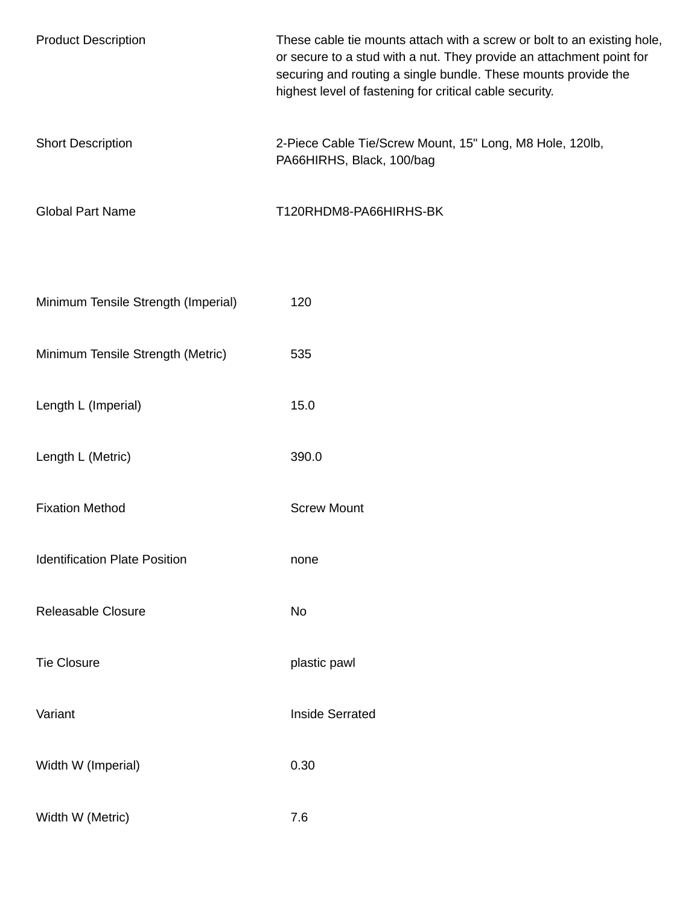| <b>Product Description</b>           | These cable tie mounts attach with a screw or bolt to an existing hole,<br>or secure to a stud with a nut. They provide an attachment point for<br>securing and routing a single bundle. These mounts provide the<br>highest level of fastening for critical cable security. |
|--------------------------------------|------------------------------------------------------------------------------------------------------------------------------------------------------------------------------------------------------------------------------------------------------------------------------|
| <b>Short Description</b>             | 2-Piece Cable Tie/Screw Mount, 15" Long, M8 Hole, 120lb,<br>PA66HIRHS, Black, 100/bag                                                                                                                                                                                        |
| <b>Global Part Name</b>              | T120RHDM8-PA66HIRHS-BK                                                                                                                                                                                                                                                       |
| Minimum Tensile Strength (Imperial)  | 120                                                                                                                                                                                                                                                                          |
| Minimum Tensile Strength (Metric)    | 535                                                                                                                                                                                                                                                                          |
| Length L (Imperial)                  | 15.0                                                                                                                                                                                                                                                                         |
| Length L (Metric)                    | 390.0                                                                                                                                                                                                                                                                        |
| <b>Fixation Method</b>               | <b>Screw Mount</b>                                                                                                                                                                                                                                                           |
| <b>Identification Plate Position</b> | none                                                                                                                                                                                                                                                                         |
| Releasable Closure                   | No                                                                                                                                                                                                                                                                           |
| <b>Tie Closure</b>                   | plastic pawl                                                                                                                                                                                                                                                                 |
| Variant                              | <b>Inside Serrated</b>                                                                                                                                                                                                                                                       |
| Width W (Imperial)                   | 0.30                                                                                                                                                                                                                                                                         |
| Width W (Metric)                     | 7.6                                                                                                                                                                                                                                                                          |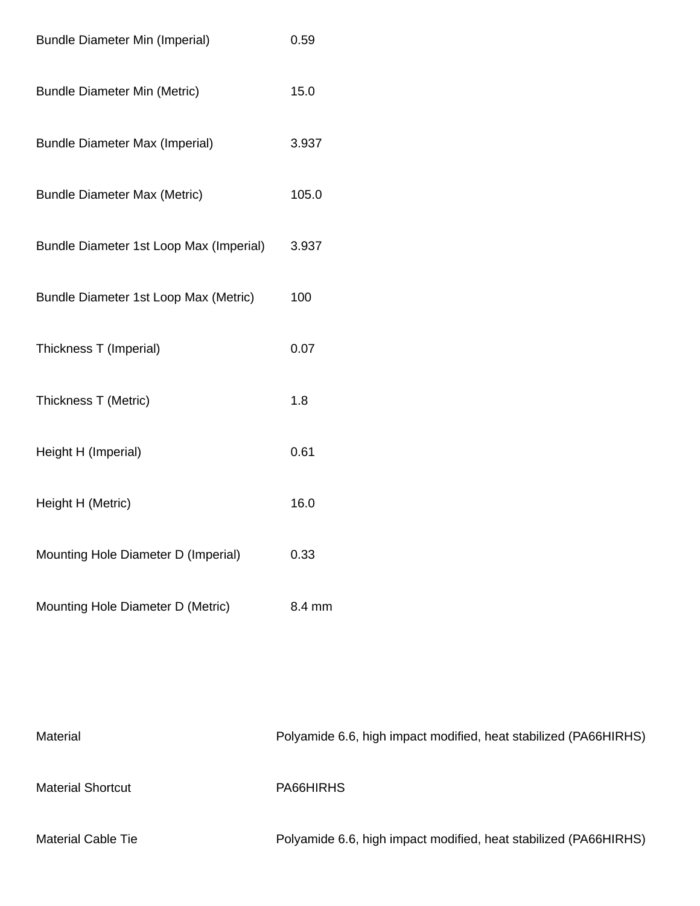| <b>Bundle Diameter Min (Imperial)</b>   | 0.59   |
|-----------------------------------------|--------|
| <b>Bundle Diameter Min (Metric)</b>     | 15.0   |
| <b>Bundle Diameter Max (Imperial)</b>   | 3.937  |
| <b>Bundle Diameter Max (Metric)</b>     | 105.0  |
| Bundle Diameter 1st Loop Max (Imperial) | 3.937  |
| Bundle Diameter 1st Loop Max (Metric)   | 100    |
| Thickness T (Imperial)                  | 0.07   |
| Thickness T (Metric)                    | 1.8    |
| Height H (Imperial)                     | 0.61   |
| Height H (Metric)                       | 16.0   |
| Mounting Hole Diameter D (Imperial)     | 0.33   |
| Mounting Hole Diameter D (Metric)       | 8.4 mm |

Material Material Polyamide 6.6, high impact modified, heat stabilized (PA66HIRHS) Material Shortcut PA66HIRHS Material Cable Tie **Polyamide 6.6, high impact modified, heat stabilized (PA66HIRHS)**